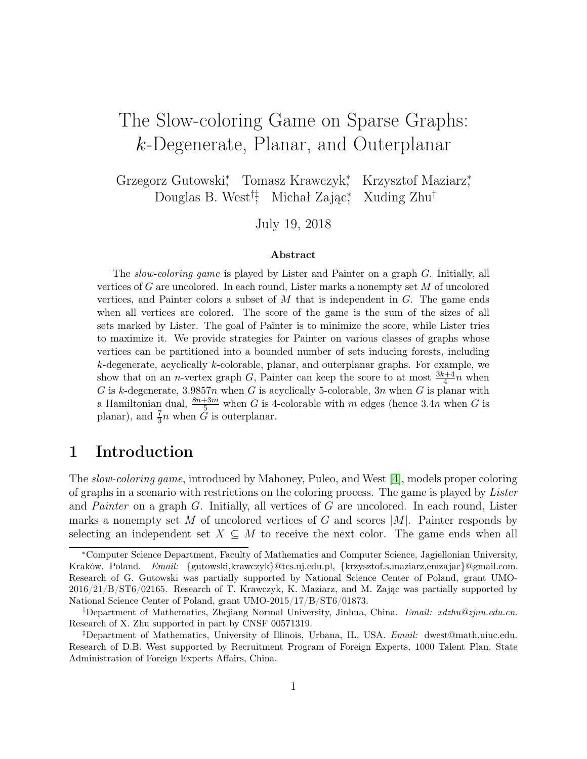# The Slow-coloring Game on Sparse Graphs: k-Degenerate, Planar, and Outerplanar

Grzegorz Gutowski<sup>\*</sup>, Tomasz Krawczyk<sup>\*</sup>, Krzysztof Maziarz<sup>\*</sup>, Douglas B. West<sup>†‡</sup>, Michał Zając<sup>\*</sup>, Xuding Zhu<sup>†</sup>

July 19, 2018

#### Abstract

The slow-coloring game is played by Lister and Painter on a graph G. Initially, all vertices of G are uncolored. In each round, Lister marks a nonempty set M of uncolored vertices, and Painter colors a subset of  $M$  that is independent in  $G$ . The game ends when all vertices are colored. The score of the game is the sum of the sizes of all sets marked by Lister. The goal of Painter is to minimize the score, while Lister tries to maximize it. We provide strategies for Painter on various classes of graphs whose vertices can be partitioned into a bounded number of sets inducing forests, including k-degenerate, acyclically k-colorable, planar, and outerplanar graphs. For example, we show that on an *n*-vertex graph  $G$ , Painter can keep the score to at most  $\frac{3k+4}{4}n$  when G is k-degenerate, 3.9857n when G is acyclically 5-colorable,  $3n$  when G is planar with a Hamiltonian dual,  $\frac{8n+3m}{5}$  when G is 4-colorable with m edges (hence 3.4n when G is planar), and  $\frac{7}{3}n$  when  $\tilde{G}$  is outerplanar.

# 1 Introduction

The slow-coloring game, introduced by Mahoney, Puleo, and West [\[4\]](#page-14-0), models proper coloring of graphs in a scenario with restrictions on the coloring process. The game is played by Lister and Painter on a graph G. Initially, all vertices of G are uncolored. In each round, Lister marks a nonempty set M of uncolored vertices of G and scores  $|M|$ . Painter responds by selecting an independent set  $X \subseteq M$  to receive the next color. The game ends when all

<sup>∗</sup>Computer Science Department, Faculty of Mathematics and Computer Science, Jagiellonian University, Kraków, Poland. *Email:* {gutowski,krawczyk}@tcs.uj.edu.pl, {krzysztof.s.maziarz,emzajac}@gmail.com. Research of G. Gutowski was partially supported by National Science Center of Poland, grant UMO-2016/21/B/ST6/02165. Research of T. Krawczyk, K. Maziarz, and M. Zając was partially supported by National Science Center of Poland, grant UMO-2015/17/B/ST6/01873.

<sup>†</sup>Department of Mathematics, Zhejiang Normal University, Jinhua, China. *Email: xdzhu@zjnu.edu.cn*. Research of X. Zhu supported in part by CNSF 00571319.

<sup>‡</sup>Department of Mathematics, University of Illinois, Urbana, IL, USA. *Email:* dwest@math.uiuc.edu. Research of D.B. West supported by Recruitment Program of Foreign Experts, 1000 Talent Plan, State Administration of Foreign Experts Affairs, China.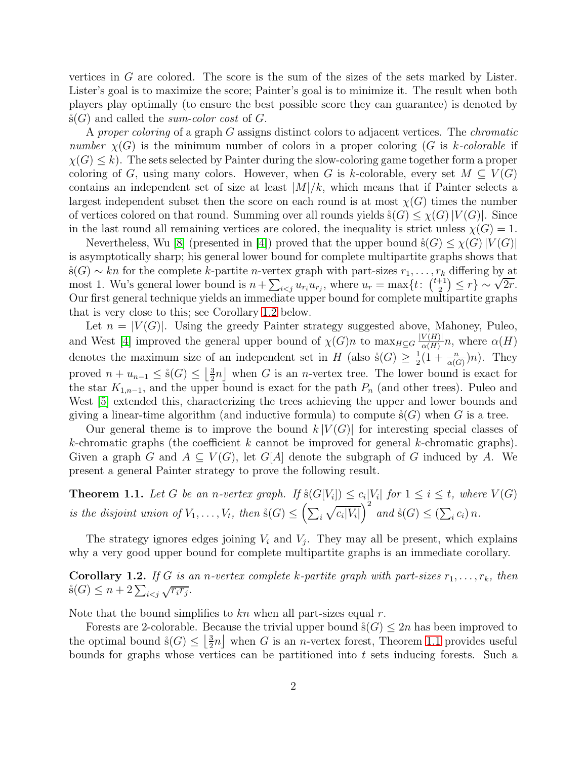vertices in G are colored. The score is the sum of the sizes of the sets marked by Lister. Lister's goal is to maximize the score; Painter's goal is to minimize it. The result when both players play optimally (to ensure the best possible score they can guarantee) is denoted by  $\hat{s}(G)$  and called the sum-color cost of G.

A proper coloring of a graph G assigns distinct colors to adjacent vertices. The *chromatic* number  $\chi(G)$  is the minimum number of colors in a proper coloring (G is k-colorable if  $\chi(G) \leq k$ ). The sets selected by Painter during the slow-coloring game together form a proper coloring of G, using many colors. However, when G is k-colorable, every set  $M \subseteq V(G)$ contains an independent set of size at least  $|M|/k$ , which means that if Painter selects a largest independent subset then the score on each round is at most  $\chi(G)$  times the number of vertices colored on that round. Summing over all rounds yields  $\hat{s}(G) \leq \chi(G)|V(G)|$ . Since in the last round all remaining vertices are colored, the inequality is strict unless  $\chi(G) = 1$ .

Nevertheless, Wu [\[8\]](#page-14-1) (presented in [\[4\]](#page-14-0)) proved that the upper bound  $\dot{s}(G) \leq \chi(G) |V(G)|$ is asymptotically sharp; his general lower bound for complete multipartite graphs shows that  $\dot{s}(G) \sim kn$  for the complete k-partite n-vertex graph with part-sizes  $r_1, \ldots, r_k$  differing by at most 1. Wu's general lower bound is  $n + \sum_{i < j} u_{r_i} u_{r_j}$ , where  $u_r = \max\{t : \binom{t+1}{2}$  $\left(\frac{1}{2}\right)^{1/2}$   $\leq$   $r$   $\}$   $\sim$   $\sqrt{2r}$ . Our first general technique yields an immediate upper bound for complete multipartite graphs that is very close to this; see Corollary [1.2](#page-1-0) below.

Let  $n = |V(G)|$ . Using the greedy Painter strategy suggested above, Mahoney, Puleo, and West [\[4\]](#page-14-0) improved the general upper bound of  $\chi(G)n$  to  $\max_{H\subseteq G} \frac{|V(H)|}{\alpha(H)}$  $\frac{\alpha(H)}{\alpha(H)}n$ , where  $\alpha(H)$ denotes the maximum size of an independent set in H (also  $\dot{s}(G) \geq \frac{1}{2}$ )  $\frac{1}{2}(1+\frac{n}{\alpha(G)})n$ . They proved  $n + u_{n-1} \leq \mathfrak{s}(G) \leq \left\lfloor \frac{3}{2} \right\rfloor$  $\frac{3}{2}n$  when G is an *n*-vertex tree. The lower bound is exact for the star  $K_{1,n-1}$ , and the upper bound is exact for the path  $P_n$  (and other trees). Puleo and West  $\left[5\right]$  extended this, characterizing the trees achieving the upper and lower bounds and giving a linear-time algorithm (and inductive formula) to compute  $\hat{s}(G)$  when G is a tree.

Our general theme is to improve the bound  $k |V(G)|$  for interesting special classes of k-chromatic graphs (the coefficient  $k$  cannot be improved for general k-chromatic graphs). Given a graph G and  $A \subseteq V(G)$ , let G[A] denote the subgraph of G induced by A. We present a general Painter strategy to prove the following result.

<span id="page-1-1"></span>**Theorem 1.1.** Let G be an n-vertex graph. If  $\sharp(G[V_i]) \leq c_i|V_i|$  for  $1 \leq i \leq t$ , where  $V(G)$ is the disjoint union of  $V_1, \ldots, V_t$ , then  $\hat{s}(G) \leq \left(\sum_i \sqrt{c_i|V_i|}\right)$  $\bigg)^2$  and  $\dot{s}(G) \leq (\sum_i c_i) n$ .

The strategy ignores edges joining  $V_i$  and  $V_j$ . They may all be present, which explains why a very good upper bound for complete multipartite graphs is an immediate corollary.

<span id="page-1-0"></span>**Corollary 1.2.** If G is an n-vertex complete k-partite graph with part-sizes  $r_1, \ldots, r_k$ , then  $\dot{s}(G) \leq n + 2\sum_{i < j} \sqrt{r_i r_j}.$ 

Note that the bound simplifies to  $kn$  when all part-sizes equal r.

Forests are 2-colorable. Because the trivial upper bound  $\dot{s}(G) \leq 2n$  has been improved to the optimal bound  $\hat{s}(G) \leq \left\lfloor \frac{3}{2} \right\rfloor$  $\frac{3}{2}n$  when G is an *n*-vertex forest, Theorem [1.1](#page-1-1) provides useful bounds for graphs whose vertices can be partitioned into  $t$  sets inducing forests. Such a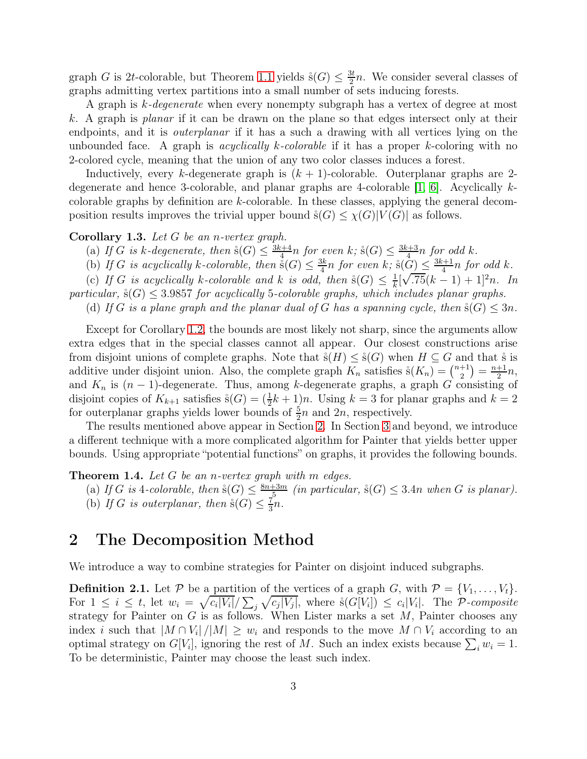graph G is 2t-colorable, but Theorem [1.1](#page-1-1) yields  $\hat{s}(G) \leq \frac{3t}{2}$  $\frac{3t}{2}n$ . We consider several classes of graphs admitting vertex partitions into a small number of sets inducing forests.

A graph is k-degenerate when every nonempty subgraph has a vertex of degree at most k. A graph is planar if it can be drawn on the plane so that edges intersect only at their endpoints, and it is outerplanar if it has a such a drawing with all vertices lying on the unbounded face. A graph is *acyclically k-colorable* if it has a proper k-coloring with no 2-colored cycle, meaning that the union of any two color classes induces a forest.

Inductively, every k-degenerate graph is  $(k + 1)$ -colorable. Outerplanar graphs are 2degenerate and hence 3-colorable, and planar graphs are 4-colorable  $[1, 6]$  $[1, 6]$ . Acyclically kcolorable graphs by definition are k-colorable. In these classes, applying the general decomposition results improves the trivial upper bound  $\hat{s}(G) \leq \chi(G)|V(G)|$  as follows.

#### Corollary 1.3. Let  $G$  be an n-vertex graph.

- (a) If G is k-degenerate, then  $\Im(G) \leq \frac{3k+4}{4}$  $\frac{n+4}{4}n$  for even k;  $\overset{\circ}{\mathbf{s}}(G) \leq \frac{3k+3}{4}$  $\frac{k+3}{4}n$  for odd k.
- (b) If G is acyclically k-colorable, then  $\mathring{\mathbf{s}}(G) \leq \frac{3k}{4}$  $\frac{3k}{4}n$  for even k;  $\overset{\circ}{\mathrm{s}}(\overset{\circ}{G}) \leq \frac{3k+1}{4}$  $\frac{k+1}{4}n$  for odd k.

(c) If G is acyclically k-colorable and k is odd, then  $\aleph(G) \leq \frac{1}{k}$  $\frac{1}{k}[\sqrt{.75}(k-1)+1]^2n$ . In √

particular,  $\hat{s}(G) \leq 3.9857$  for acyclically 5-colorable graphs, which includes planar graphs.

(d) If G is a plane graph and the planar dual of G has a spanning cycle, then  $\Im(G) \leq 3n$ .

Except for Corollary [1.2,](#page-1-0) the bounds are most likely not sharp, since the arguments allow extra edges that in the special classes cannot all appear. Our closest constructions arise from disjoint unions of complete graphs. Note that  $\dot{s}(H) \leq \dot{s}(G)$  when  $H \subseteq G$  and that  $\dot{s}$  is additive under disjoint union. Also, the complete graph  $K_n$  satisfies  $\ddot{s}(K_n) = \binom{n+1}{2}$  $\binom{+1}{2} = \frac{n+1}{2}$  $\frac{+1}{2}n,$ and  $K_n$  is  $(n-1)$ -degenerate. Thus, among k-degenerate graphs, a graph G consisting of disjoint copies of  $K_{k+1}$  satisfies  $\dot{s}(G) = (\frac{1}{2}k+1)n$ . Using  $k = 3$  for planar graphs and  $k = 2$ for outerplanar graphs yields lower bounds of  $\frac{5}{2}n$  and  $2n$ , respectively.

The results mentioned above appear in Section [2.](#page-2-0) In Section [3](#page-7-0) and beyond, we introduce a different technique with a more complicated algorithm for Painter that yields better upper bounds. Using appropriate "potential functions" on graphs, it provides the following bounds.

<span id="page-2-2"></span>**Theorem 1.4.** Let  $G$  be an n-vertex graph with m edges.

(a) If G is 4-colorable, then  $\Im(G) \leq \frac{8n+3m}{5}$  $\frac{13m}{5}$  (in particular,  $\dot{s}(G) \leq 3.4n$  when G is planar). (b) If G is outerplanar, then  $\dot{s}(G) \leq \frac{7}{3}$  $\frac{7}{3}n$ .

### <span id="page-2-0"></span>2 The Decomposition Method

We introduce a way to combine strategies for Painter on disjoint induced subgraphs.

<span id="page-2-1"></span>**Definition 2.1.** Let P be a partition of the vertices of a graph G, with  $P = \{V_1, \ldots, V_t\}$ . For  $1 \leq i \leq t$ , let  $w_i = \sqrt{c_i|V_i|}/\sum_j \sqrt{c_j|V_j|}$ , where  $\mathring{s}(G[V_i]) \leq c_i|V_i|$ . The P-composite strategy for Painter on  $G$  is as follows. When Lister marks a set  $M$ , Painter chooses any index *i* such that  $|M \cap V_i| / |M| \geq w_i$  and responds to the move  $M \cap V_i$  according to an optimal strategy on  $G[V_i]$ , ignoring the rest of M. Such an index exists because  $\sum_i w_i = 1$ . To be deterministic, Painter may choose the least such index.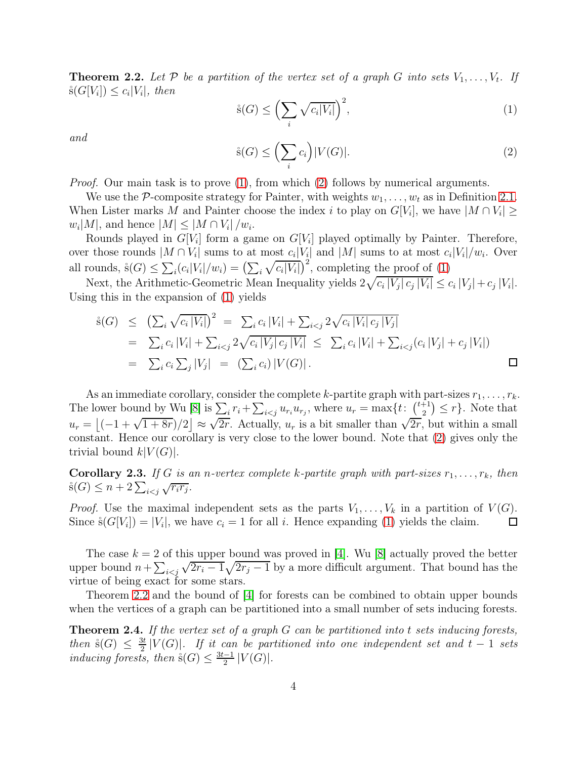<span id="page-3-2"></span>**Theorem 2.2.** Let  $P$  be a partition of the vertex set of a graph  $G$  into sets  $V_1, \ldots, V_t$ . If  $\dot{s}(G[V_i]) \leq c_i|V_i|, \text{ then}$ 

<span id="page-3-0"></span>
$$
\dot{s}(G) \le \left(\sum_{i} \sqrt{c_i |V_i|}\right)^2,\tag{1}
$$

and

<span id="page-3-1"></span>
$$
\hat{s}(G) \le \left(\sum_{i} c_i\right) |V(G)|. \tag{2}
$$

*Proof.* Our main task is to prove  $(1)$ , from which  $(2)$  follows by numerical arguments.

We use the P-composite strategy for Painter, with weights  $w_1, \ldots, w_t$  as in Definition [2.1.](#page-2-1) When Lister marks M and Painter choose the index i to play on  $G[V_i]$ , we have  $|M \cap V_i| \ge$  $w_i|M|$ , and hence  $|M| \leq |M \cap V_i|/w_i$ .

Rounds played in  $G[V_i]$  form a game on  $G[V_i]$  played optimally by Painter. Therefore, over those rounds  $|M \cap V_i|$  sums to at most  $c_i|V_i|$  and  $|M|$  sums to at most  $c_i|V_i|/w_i$ . Over all rounds,  $\hat{s}(G) \leq \sum_i (c_i |V_i|/w_i) = (\sum_i \sqrt{c_i |V_i|})^2$ , completing the proof of [\(1\)](#page-3-0)

Next, the Arithmetic-Geometric Mean Inequality yields  $2\sqrt{c_i |V_j| c_j |V_i|} \leq c_i |V_j| + c_j |V_i|$ . Using this in the expansion of [\(1\)](#page-3-0) yields

$$
\hat{s}(G) \leq (\sum_{i} \sqrt{c_i |V_i|})^2 = \sum_{i} c_i |V_i| + \sum_{i < j} 2\sqrt{c_i |V_i| c_j |V_j|} \n= \sum_{i} c_i |V_i| + \sum_{i < j} 2\sqrt{c_i |V_j| c_j |V_i|} \leq \sum_{i} c_i |V_i| + \sum_{i < j} (c_i |V_j| + c_j |V_i|) \n= \sum_{i} c_i \sum_{j} |V_j| = (\sum_{i} c_i) |V(G)|.
$$

As an immediate corollary, consider the complete k-partite graph with part-sizes  $r_1, \ldots, r_k$ . The lower bound by Wu [\[8\]](#page-14-1) is  $\sum_i r_i + \sum_{i < j} u_{r_i} u_{r_j}$ , where  $u_r = \max\{t: \binom{t+1}{2}$  $\binom{+1}{2} \leq r$ . Note that  $u_r = \left[(-1 + \sqrt{1 + 8r})/2\right] \approx$  $\sqrt{2r}$ . Actually,  $u_r$  is a bit smaller than  $\sqrt{2r}$ , but within a small constant. Hence our corollary is very close to the lower bound. Note that [\(2\)](#page-3-1) gives only the trivial bound  $k|V(G)|$ .

**Corollary 2.3.** If G is an n-vertex complete k-partite graph with part-sizes  $r_1, \ldots, r_k$ , then  $\dot{s}(G) \leq n + 2\sum_{i < j} \sqrt{r_i r_j}.$ 

*Proof.* Use the maximal independent sets as the parts  $V_1, \ldots, V_k$  in a partition of  $V(G)$ .  $\Box$ Since  $\dot{s}(G[V_i]) = |V_i|$ , we have  $c_i = 1$  for all i. Hence expanding [\(1\)](#page-3-0) yields the claim.

The case  $k = 2$  of this upper bound was proved in [\[4\]](#page-14-0). Wu [\[8\]](#page-14-1) actually proved the better upper bound  $n + \sum_{i < j} \sqrt{2r_i - 1} \sqrt{2r_j - 1}$  by a more difficult argument. That bound has the virtue of being exact for some stars.

Theorem [2.2](#page-3-2) and the bound of [\[4\]](#page-14-0) for forests can be combined to obtain upper bounds when the vertices of a graph can be partitioned into a small number of sets inducing forests.

<span id="page-3-3"></span>**Theorem 2.4.** If the vertex set of a graph  $G$  can be partitioned into t sets inducing forests, then  $\mathring{s}(G) \leq \frac{3t}{2}$  $\frac{2t}{2}$  |V(G)|. If it can be partitioned into one independent set and t – 1 sets inducing forests, then  $\Im(G) \leq \frac{3t-1}{2}$  $\frac{-1}{2}$   $|V(G)|$ .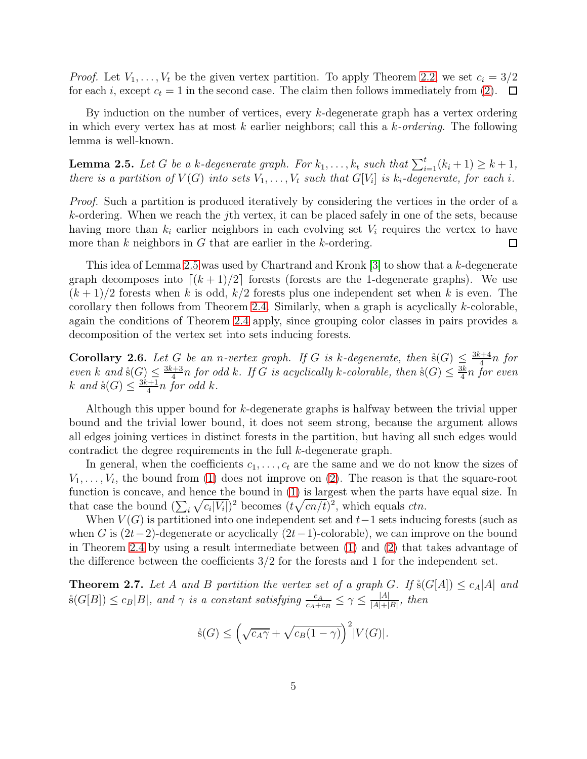*Proof.* Let  $V_1, \ldots, V_t$  be the given vertex partition. To apply Theorem [2.2,](#page-3-2) we set  $c_i = 3/2$ for each i, except  $c_t = 1$  in the second case. The claim then follows immediately from [\(2\)](#page-3-1).  $\Box$ 

By induction on the number of vertices, every k-degenerate graph has a vertex ordering in which every vertex has at most k earlier neighbors; call this a k-ordering. The following lemma is well-known.

<span id="page-4-0"></span>**Lemma 2.5.** Let G be a k-degenerate graph. For  $k_1, \ldots, k_t$  such that  $\sum_{i=1}^t (k_i + 1) \geq k + 1$ , there is a partition of  $V(G)$  into sets  $V_1, \ldots, V_t$  such that  $G[V_i]$  is  $k_i$ -degenerate, for each i.

Proof. Such a partition is produced iteratively by considering the vertices in the order of a k-ordering. When we reach the jth vertex, it can be placed safely in one of the sets, because having more than  $k_i$  earlier neighbors in each evolving set  $V_i$  requires the vertex to have more than  $k$  neighbors in  $G$  that are earlier in the  $k$ -ordering.  $\Box$ 

This idea of Lemma [2.5](#page-4-0) was used by Chartrand and Kronk [\[3\]](#page-14-5) to show that a k-degenerate graph decomposes into  $\lceil (k+1)/2 \rceil$  forests (forests are the 1-degenerate graphs). We use  $(k+1)/2$  forests when k is odd,  $k/2$  forests plus one independent set when k is even. The corollary then follows from Theorem [2.4.](#page-3-3) Similarly, when a graph is acyclically  $k$ -colorable, again the conditions of Theorem [2.4](#page-3-3) apply, since grouping color classes in pairs provides a decomposition of the vertex set into sets inducing forests.

**Corollary 2.6.** Let G be an n-vertex graph. If G is k-degenerate, then  $\mathring{\mathbf{s}}(G) \leq \frac{3k+4}{4}$  $\frac{n+4}{4}n$  for even k and  $\mathcal{S}(G) \leq \frac{3k+3}{4}$  $\frac{d+3}{4}$ n for odd k. If G is acyclically k-colorable, then  $\Im(G) \leq \frac{3k}{4}$  $\frac{3k}{4}n$  for even k and  $\dot{s}(G) \leq \frac{3k+1}{4}$  $\frac{k+1}{4}n$  for odd k.

Although this upper bound for k-degenerate graphs is halfway between the trivial upper bound and the trivial lower bound, it does not seem strong, because the argument allows all edges joining vertices in distinct forests in the partition, but having all such edges would contradict the degree requirements in the full k-degenerate graph.

In general, when the coefficients  $c_1, \ldots, c_t$  are the same and we do not know the sizes of  $V_1, \ldots, V_t$ , the bound from [\(1\)](#page-3-0) does not improve on [\(2\)](#page-3-1). The reason is that the square-root function is concave, and hence the bound in [\(1\)](#page-3-0) is largest when the parts have equal size. In that case the bound  $(\sum_i \sqrt{c_i|V_i|})^2$  becomes  $(t\sqrt{cn/t})^2$ , which equals *ctn*.

When  $V(G)$  is partitioned into one independent set and  $t-1$  sets inducing forests (such as when G is  $(2t-2)$ -degenerate or acyclically  $(2t-1)$ -colorable), we can improve on the bound in Theorem [2.4](#page-3-3) by using a result intermediate between [\(1\)](#page-3-0) and [\(2\)](#page-3-1) that takes advantage of the difference between the coefficients  $3/2$  for the forests and 1 for the independent set.

<span id="page-4-1"></span>**Theorem 2.7.** Let A and B partition the vertex set of a graph G. If  $\hat{s}(G[A]) \le c_A[A]$  and  $\mathcal{S}(G[B]) \leq c_B|B|$ , and  $\gamma$  is a constant satisfying  $\frac{c_A}{c_A+c_B} \leq \gamma \leq \frac{|A|}{|A|+|B|}$  $\frac{|A|}{|A|+|B|}$ , then

$$
\dot{s}(G) \le \left(\sqrt{c_A \gamma} + \sqrt{c_B (1 - \gamma)}\right)^2 |V(G)|.
$$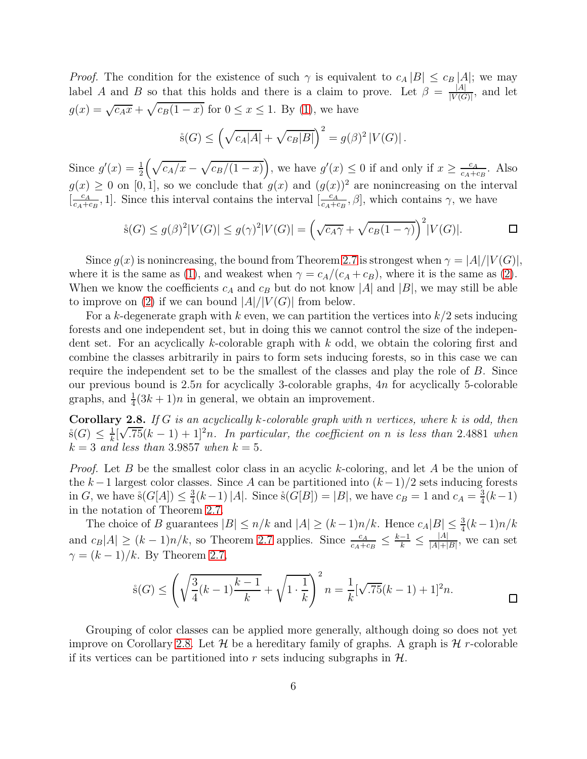*Proof.* The condition for the existence of such  $\gamma$  is equivalent to  $c_A |B| \leq c_B |A|$ ; we may label A and B so that this holds and there is a claim to prove. Let  $\beta = \frac{|A|}{|V(G)|}$  $\frac{|A|}{|V(G)|}$ , and let  $g(x) = \sqrt{c_A x} + \sqrt{c_B(1-x)}$  for  $0 \le x \le 1$ . By [\(1\)](#page-3-0), we have

$$
\dot{s}(G) \leq \left(\sqrt{c_A|A|} + \sqrt{c_B|B|}\right)^2 = g(\beta)^2 |V(G)|.
$$

Since  $g'(x) = \frac{1}{2} \left( \sqrt{c_A/x} - \sqrt{c_B/(1-x)} \right)$ , we have  $g'(x) \leq 0$  if and only if  $x \geq \frac{c_A}{c_A+\epsilon}$  $\frac{c_A}{c_A+c_B}$ . Also  $g(x) \geq 0$  on [0, 1], so we conclude that  $g(x)$  and  $(g(x))^2$  are nonincreasing on the interval  $\left[\frac{c_A}{c_A + c_A}\right]$  $\frac{c_A}{c_A+c_B}$ , 1]. Since this interval contains the interval  $\left[\frac{c_A}{c_A+c_B}\right]$  $\frac{c_A}{c_A+c_B}, \beta$ , which contains  $\gamma$ , we have

$$
\dot{s}(G) \le g(\beta)^2 |V(G)| \le g(\gamma)^2 |V(G)| = \left(\sqrt{c_A \gamma} + \sqrt{c_B(1-\gamma)}\right)^2 |V(G)|. \square
$$

Since  $g(x)$  is nonincreasing, the bound from Theorem [2.7](#page-4-1) is strongest when  $\gamma = |A|/|V(G)|$ , where it is the same as [\(1\)](#page-3-0), and weakest when  $\gamma = c_A/(c_A + c_B)$ , where it is the same as [\(2\)](#page-3-1). When we know the coefficients  $c_A$  and  $c_B$  but do not know |A| and |B|, we may still be able to improve on [\(2\)](#page-3-1) if we can bound  $|A|/|V(G)|$  from below.

For a k-degenerate graph with k even, we can partition the vertices into  $k/2$  sets inducing forests and one independent set, but in doing this we cannot control the size of the independent set. For an acyclically k-colorable graph with k odd, we obtain the coloring first and combine the classes arbitrarily in pairs to form sets inducing forests, so in this case we can require the independent set to be the smallest of the classes and play the role of B. Since our previous bound is  $2.5n$  for acyclically 3-colorable graphs,  $4n$  for acyclically 5-colorable graphs, and  $\frac{1}{4}(3k+1)n$  in general, we obtain an improvement.

<span id="page-5-0"></span>**Corollary 2.8.** If G is an acyclically k-colorable graph with n vertices, where k is odd, then  $\mathrm{\dot{S}}(G) \leq \frac{1}{k}$  $\frac{1}{k}[\sqrt{.75}(k-1)+1]^2n$ . In particular, the coefficient on n is less than 2.4881 when  $k = 3$  and less than 3.9857 when  $k = 5$ .

*Proof.* Let B be the smallest color class in an acyclic k-coloring, and let A be the union of the k – 1 largest color classes. Since A can be partitioned into  $(k-1)/2$  sets inducing forests in G, we have  $\dot{s}(G[A]) \leq \frac{3}{4}$  $\frac{3}{4}(k-1)|A|$ . Since  $\dot{s}(G[B]) = |B|$ , we have  $c_B = 1$  and  $c_A = \frac{3}{4}$  $\frac{3}{4}(k-1)$ in the notation of Theorem [2.7.](#page-4-1)

The choice of B guarantees  $|B| \le n/k$  and  $|A| \ge (k-1)n/k$ . Hence  $c_A|B| \le \frac{3}{4}(k-1)n/k$ and  $c_B|A| \ge (k-1)n/k$ , so Theorem [2.7](#page-4-1) applies. Since  $\frac{c_A}{c_A+c_B} \le \frac{k-1}{k} \le \frac{|A|}{|A|+|}$  $\frac{|A|}{|A|+|B|}$ , we can set  $\gamma = (k-1)/k$ . By Theorem [2.7,](#page-4-1)

$$
\dot{s}(G) \le \left(\sqrt{\frac{3}{4}(k-1)\frac{k-1}{k}} + \sqrt{1 \cdot \frac{1}{k}}\right)^2 n = \frac{1}{k}[\sqrt{.75}(k-1) + 1]^2 n.
$$

Grouping of color classes can be applied more generally, although doing so does not yet improve on Corollary [2.8.](#page-5-0) Let  $\mathcal H$  be a hereditary family of graphs. A graph is  $\mathcal H$  r-colorable if its vertices can be partitioned into r sets inducing subgraphs in  $H$ .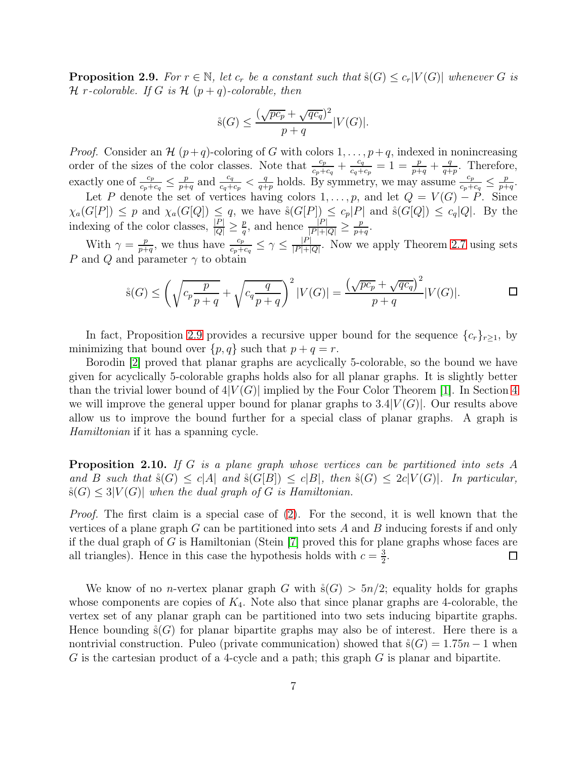<span id="page-6-0"></span>**Proposition 2.9.** For  $r \in \mathbb{N}$ , let  $c_r$  be a constant such that  $\dot{s}(G) \leq c_r|V(G)|$  whenever G is  $\mathcal H$  r-colorable. If G is  $\mathcal H$   $(p+q)$ -colorable, then

$$
\dot{\mathbf{s}}(G) \le \frac{(\sqrt{p c_p} + \sqrt{q c_q})^2}{p+q} |V(G)|.
$$

*Proof.* Consider an H  $(p+q)$ -coloring of G with colors  $1, \ldots, p+q$ , indexed in nonincreasing order of the sizes of the color classes. Note that  $\frac{c_p}{c_p+c_q}+\frac{c_q}{c_q+}$  $\frac{c_q}{c_q+c_p} = 1 = \frac{p}{p+q} + \frac{q}{q+q}$  $\frac{q}{q+p}$ . Therefore, exactly one of  $\frac{c_p}{c_p+c_q} \leq \frac{p}{p+q}$  $\frac{p}{p+q}$  and  $\frac{c_q}{c_q+c_p} < \frac{q}{q+q}$  $\frac{q}{q+p}$  holds. By symmetry, we may assume  $\frac{c_p}{c_p+c_q} \leq \frac{p}{p+p}$  $\frac{p}{p+q}$ .

Let P denote the set of vertices having colors  $1, \ldots, p$ , and let  $Q = V(G) - P$ . Since  $\chi_a(G[P]) \leq p$  and  $\chi_a(G[Q]) \leq q$ , we have  $\hat{s}(G[P]) \leq c_p|P|$  and  $\hat{s}(G[Q]) \leq c_q|Q|$ . By the indexing of the color classes,  $\frac{|P|}{|Q|} \geq \frac{p}{q}$  $\frac{p}{|P|+|Q|} \geq \frac{p}{p+1}$  $\frac{p}{p+q}.$ 

With  $\gamma = \frac{p}{n+1}$  $\frac{p}{p+q}$ , we thus have  $\frac{c_p}{c_p+c_q} \leq \gamma \leq \frac{|P|}{|P|+|}$  $\frac{|P|}{|P|+|Q|}$ . Now we apply Theorem [2.7](#page-4-1) using sets P and Q and parameter  $\gamma$  to obtain

$$
\dot{s}(G) \le \left(\sqrt{c_p \frac{p}{p+q}} + \sqrt{c_q \frac{q}{p+q}}\right)^2 |V(G)| = \frac{\left(\sqrt{pc_p} + \sqrt{qc_q}\right)^2}{p+q} |V(G)|. \qquad \Box
$$

In fact, Proposition [2.9](#page-6-0) provides a recursive upper bound for the sequence  $\{c_r\}_{r>1}$ , by minimizing that bound over  $\{p, q\}$  such that  $p + q = r$ .

Borodin [\[2\]](#page-14-6) proved that planar graphs are acyclically 5-colorable, so the bound we have given for acyclically 5-colorable graphs holds also for all planar graphs. It is slightly better than the trivial lower bound of  $4|V(G)|$  implied by the Four Color Theorem [\[1\]](#page-14-3). In Section [4](#page-9-0) we will improve the general upper bound for planar graphs to  $3.4|V(G)|$ . Our results above allow us to improve the bound further for a special class of planar graphs. A graph is Hamiltonian if it has a spanning cycle.

Proposition 2.10. If G is a plane graph whose vertices can be partitioned into sets A and B such that  $\hat{s}(G) \leq c|A|$  and  $\hat{s}(G|B|) \leq c|B|$ , then  $\hat{s}(G) \leq 2c|V(G)|$ . In particular,  $\hat{s}(G) \leq 3|V(G)|$  when the dual graph of G is Hamiltonian.

Proof. The first claim is a special case of [\(2\)](#page-3-1). For the second, it is well known that the vertices of a plane graph  $G$  can be partitioned into sets  $A$  and  $B$  inducing forests if and only if the dual graph of G is Hamiltonian (Stein  $[7]$  proved this for plane graphs whose faces are all triangles). Hence in this case the hypothesis holds with  $c = \frac{3}{2}$  $\frac{3}{2}$ .  $\Box$ 

We know of no *n*-vertex planar graph G with  $\dot{s}(G) > 5n/2$ ; equality holds for graphs whose components are copies of  $K_4$ . Note also that since planar graphs are 4-colorable, the vertex set of any planar graph can be partitioned into two sets inducing bipartite graphs. Hence bounding  $\mathring{s}(G)$  for planar bipartite graphs may also be of interest. Here there is a nontrivial construction. Puleo (private communication) showed that  $\hat{s}(G) = 1.75n - 1$  when  $G$  is the cartesian product of a 4-cycle and a path; this graph  $G$  is planar and bipartite.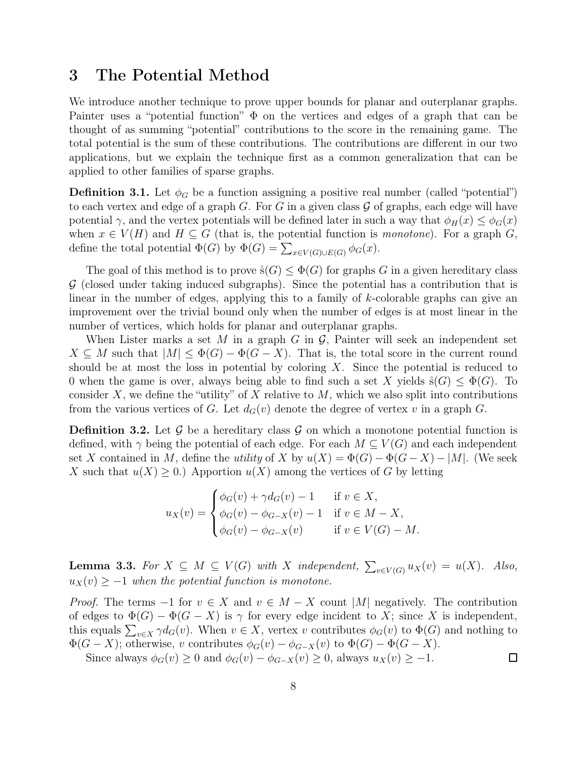# <span id="page-7-0"></span>3 The Potential Method

We introduce another technique to prove upper bounds for planar and outerplanar graphs. Painter uses a "potential function"  $\Phi$  on the vertices and edges of a graph that can be thought of as summing "potential" contributions to the score in the remaining game. The total potential is the sum of these contributions. The contributions are different in our two applications, but we explain the technique first as a common generalization that can be applied to other families of sparse graphs.

**Definition 3.1.** Let  $\phi_G$  be a function assigning a positive real number (called "potential") to each vertex and edge of a graph  $G$ . For G in a given class  $\mathcal G$  of graphs, each edge will have potential  $\gamma$ , and the vertex potentials will be defined later in such a way that  $\phi_H(x) \leq \phi_G(x)$ when  $x \in V(H)$  and  $H \subseteq G$  (that is, the potential function is *monotone*). For a graph G, define the total potential  $\Phi(G)$  by  $\Phi(G) = \sum_{x \in V(G) \cup E(G)} \phi_G(x)$ .

The goal of this method is to prove  $\hat{s}(G) \leq \Phi(G)$  for graphs G in a given hereditary class  $\mathcal G$  (closed under taking induced subgraphs). Since the potential has a contribution that is linear in the number of edges, applying this to a family of k-colorable graphs can give an improvement over the trivial bound only when the number of edges is at most linear in the number of vertices, which holds for planar and outerplanar graphs.

When Lister marks a set M in a graph G in  $\mathcal{G}$ , Painter will seek an independent set  $X \subseteq M$  such that  $|M| \leq \Phi(G) - \Phi(G - X)$ . That is, the total score in the current round should be at most the loss in potential by coloring  $X$ . Since the potential is reduced to 0 when the game is over, always being able to find such a set X yields  $\hat{s}(G) \leq \Phi(G)$ . To consider X, we define the "utility" of X relative to  $M$ , which we also split into contributions from the various vertices of G. Let  $d_G(v)$  denote the degree of vertex v in a graph G.

<span id="page-7-1"></span>**Definition 3.2.** Let  $\mathcal{G}$  be a hereditary class  $\mathcal{G}$  on which a monotone potential function is defined, with  $\gamma$  being the potential of each edge. For each  $M \subseteq V(G)$  and each independent set X contained in M, define the utility of X by  $u(X) = \Phi(G) - \Phi(G - X) - |M|$ . (We seek X such that  $u(X) \geq 0$ .) Apportion  $u(X)$  among the vertices of G by letting

$$
u_X(v) = \begin{cases} \phi_G(v) + \gamma d_G(v) - 1 & \text{if } v \in X, \\ \phi_G(v) - \phi_{G-X}(v) - 1 & \text{if } v \in M - X, \\ \phi_G(v) - \phi_{G-X}(v) & \text{if } v \in V(G) - M. \end{cases}
$$

<span id="page-7-2"></span>**Lemma 3.3.** For  $X \subseteq M \subseteq V(G)$  with X independent,  $\sum_{v \in V(G)} u_X(v) = u(X)$ . Also,  $u_X(v) \geq -1$  when the potential function is monotone.

*Proof.* The terms  $-1$  for  $v \in X$  and  $v \in M - X$  count |M| negatively. The contribution of edges to  $\Phi(G) - \Phi(G - X)$  is  $\gamma$  for every edge incident to X; since X is independent, this equals  $\sum_{v \in X} \gamma d_G(v)$ . When  $v \in X$ , vertex v contributes  $\phi_G(v)$  to  $\Phi(G)$  and nothing to  $\Phi(G - X)$ ; otherwise, v contributes  $\phi_G(v) - \phi_{G-X}(v)$  to  $\Phi(G) - \Phi(G-X)$ .

Since always  $\phi_G(v) \geq 0$  and  $\phi_G(v) - \phi_{G-X}(v) \geq 0$ , always  $u_X(v) \geq -1$ .

 $\Box$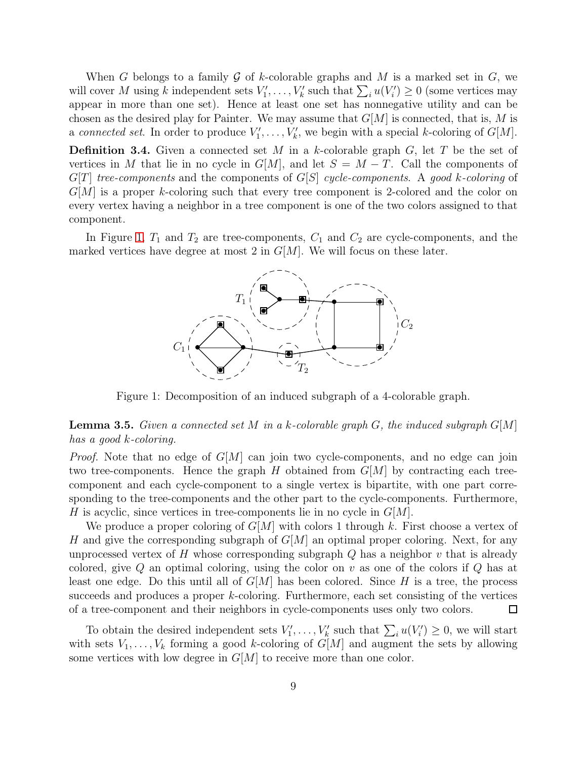When G belongs to a family G of k-colorable graphs and M is a marked set in  $G$ , we will cover M using k independent sets  $V'_1, \ldots, V'_k$  such that  $\sum_i u(V'_i) \geq 0$  (some vertices may appear in more than one set). Hence at least one set has nonnegative utility and can be chosen as the desired play for Painter. We may assume that  $G[M]$  is connected, that is, M is a connected set. In order to produce  $V'_1, \ldots, V'_k$ , we begin with a special k-coloring of  $G[M]$ .

<span id="page-8-1"></span>**Definition 3.4.** Given a connected set M in a k-colorable graph  $G$ , let T be the set of vertices in M that lie in no cycle in  $G[M]$ , and let  $S = M - T$ . Call the components of  $G[T]$  tree-components and the components of  $G[S]$  cycle-components. A good k-coloring of  $G[M]$  is a proper k-coloring such that every tree component is 2-colored and the color on every vertex having a neighbor in a tree component is one of the two colors assigned to that component.

<span id="page-8-0"></span>In Figure [1,](#page-8-0)  $T_1$  and  $T_2$  are tree-components,  $C_1$  and  $C_2$  are cycle-components, and the marked vertices have degree at most 2 in  $G[M]$ . We will focus on these later.



Figure 1: Decomposition of an induced subgraph of a 4-colorable graph.

#### <span id="page-8-2"></span>**Lemma 3.5.** Given a connected set M in a k-colorable graph G, the induced subgraph  $G[M]$ has a good k-coloring.

*Proof.* Note that no edge of  $G[M]$  can join two cycle-components, and no edge can join two tree-components. Hence the graph H obtained from  $G[M]$  by contracting each treecomponent and each cycle-component to a single vertex is bipartite, with one part corresponding to the tree-components and the other part to the cycle-components. Furthermore, H is acyclic, since vertices in tree-components lie in no cycle in  $G[M]$ .

We produce a proper coloring of  $G[M]$  with colors 1 through k. First choose a vertex of H and give the corresponding subgraph of  $G[M]$  an optimal proper coloring. Next, for any unprocessed vertex of H whose corresponding subgraph  $Q$  has a neighbor  $v$  that is already colored, give  $Q$  an optimal coloring, using the color on  $v$  as one of the colors if  $Q$  has at least one edge. Do this until all of  $G[M]$  has been colored. Since H is a tree, the process succeeds and produces a proper k-coloring. Furthermore, each set consisting of the vertices of a tree-component and their neighbors in cycle-components uses only two colors.  $\Box$ 

To obtain the desired independent sets  $V'_1, \ldots, V'_k$  such that  $\sum_i u(V'_i) \geq 0$ , we will start with sets  $V_1, \ldots, V_k$  forming a good k-coloring of  $G[M]$  and augment the sets by allowing some vertices with low degree in  $G[M]$  to receive more than one color.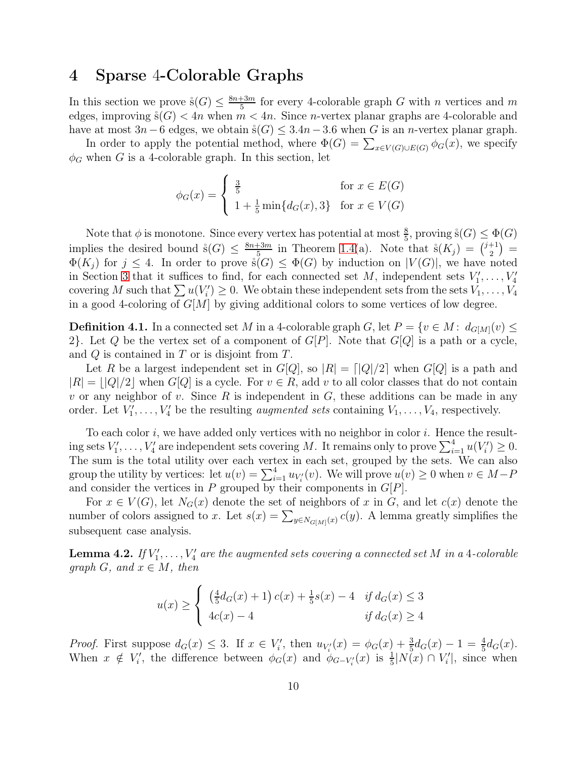# <span id="page-9-0"></span>4 Sparse 4-Colorable Graphs

In this section we prove  $\dot{s}(G) \leq \frac{8n+3m}{5}$  $\frac{f+3m}{5}$  for every 4-colorable graph G with n vertices and m edges, improving  $\Im(G)$  < 4n when  $m < 4n$ . Since n-vertex planar graphs are 4-colorable and have at most  $3n-6$  edges, we obtain  $\dot{s}(G) \leq 3.4n-3.6$  when G is an n-vertex planar graph.

In order to apply the potential method, where  $\Phi(G) = \sum_{x \in V(G) \cup E(G)} \phi_G(x)$ , we specify  $\phi_G$  when G is a 4-colorable graph. In this section, let

$$
\phi_G(x) = \begin{cases} \frac{3}{5} & \text{for } x \in E(G) \\ 1 + \frac{1}{5} \min\{d_G(x), 3\} & \text{for } x \in V(G) \end{cases}
$$

Note that  $\phi$  is monotone. Since every vertex has potential at most  $\frac{8}{5}$ , proving  $\dot{s}(G) \leq \Phi(G)$ implies the desired bound  $\dot{s}(G) \leq \frac{8n+3m}{5}$  $\frac{13m}{5}$  in Theorem [1.4\(](#page-2-2)a). Note that  $\dot{s}(K_j) = \binom{j+1}{2}$  $\binom{+1}{2}$  =  $\Phi(K_i)$  for  $j \leq 4$ . In order to prove  $\mathring{s}(G) \leq \Phi(G)$  by induction on  $|V(G)|$ , we have noted in Section [3](#page-7-0) that it suffices to find, for each connected set M, independent sets  $V'_1, \ldots, V'_4$ covering M such that  $\sum u(V_i') \geq 0$ . We obtain these independent sets from the sets  $V_1, \ldots, V_4$ in a good 4-coloring of  $G[M]$  by giving additional colors to some vertices of low degree.

<span id="page-9-2"></span>**Definition 4.1.** In a connected set M in a 4-colorable graph G, let  $P = \{v \in M : d_{G[M]}(v) \leq$ 2}. Let Q be the vertex set of a component of  $G[P]$ . Note that  $G[Q]$  is a path or a cycle, and Q is contained in T or is disjoint from T.

Let R be a largest independent set in  $G[Q]$ , so  $|R| = |Q|/2|$  when  $G[Q]$  is a path and  $|R| = |Q|/2|$  when  $G[Q]$  is a cycle. For  $v \in R$ , add v to all color classes that do not contain v or any neighbor of v. Since  $R$  is independent in  $G$ , these additions can be made in any order. Let  $V'_1, \ldots, V'_4$  be the resulting *augmented sets* containing  $V_1, \ldots, V_4$ , respectively.

To each color  $i$ , we have added only vertices with no neighbor in color  $i$ . Hence the resulting sets  $V'_1, \ldots, V'_4$  are independent sets covering M. It remains only to prove  $\sum_{i=1}^4 u(V'_i) \geq 0$ . The sum is the total utility over each vertex in each set, grouped by the sets. We can also group the utility by vertices: let  $u(v) = \sum_{i=1}^{4} u_{V_i}(v)$ . We will prove  $u(v) \ge 0$  when  $v \in M - P$ and consider the vertices in P grouped by their components in  $G[P]$ .

For  $x \in V(G)$ , let  $N_G(x)$  denote the set of neighbors of x in G, and let  $c(x)$  denote the number of colors assigned to x. Let  $s(x) = \sum_{y \in N_{G[M]}(x)} c(y)$ . A lemma greatly simplifies the subsequent case analysis.

<span id="page-9-1"></span>**Lemma 4.2.** If  $V'_1, \ldots, V'_4$  are the augmented sets covering a connected set M in a 4-colorable graph G, and  $x \in M$ , then

$$
u(x) \ge \begin{cases} \left(\frac{4}{5}d_G(x) + 1\right)c(x) + \frac{1}{5}s(x) - 4 & \text{if } d_G(x) \le 3\\ 4c(x) - 4 & \text{if } d_G(x) \ge 4 \end{cases}
$$

*Proof.* First suppose  $d_G(x) \leq 3$ . If  $x \in V'_i$ , then  $u_{V'_i}(x) = \phi_G(x) + \frac{3}{5}d_G(x) - 1 = \frac{4}{5}d_G(x)$ . When  $x \notin V'_i$ , the difference between  $\phi_G(x)$  and  $\phi_{G-V'_i}(x)$  is  $\frac{1}{5}|N(x) \cap V'_i|$ , since when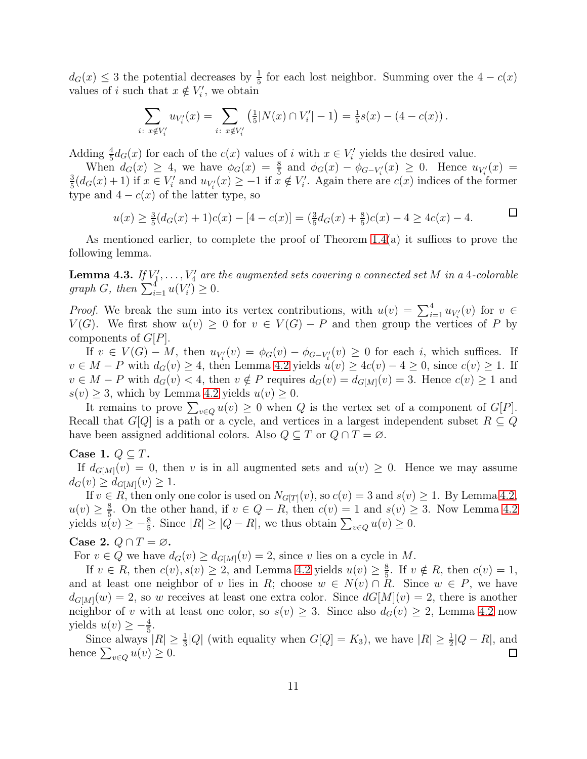$d_G(x) \leq 3$  the potential decreases by  $\frac{1}{5}$  for each lost neighbor. Summing over the  $4 - c(x)$ values of *i* such that  $x \notin V'_i$ , we obtain

$$
\sum_{i\colon x \notin V'_i} u_{V'_i}(x) = \sum_{i\colon x \notin V'_i} \left(\frac{1}{5}|N(x) \cap V'_i| - 1\right) = \frac{1}{5}s(x) - (4 - c(x)).
$$

Adding  $\frac{4}{5}d_G(x)$  for each of the  $c(x)$  values of i with  $x \in V'_i$  yields the desired value.

When  $d_G(x) \geq 4$ , we have  $\phi_G(x) = \frac{8}{5}$  and  $\phi_G(x) - \phi_{G-V_i}(x) \geq 0$ . Hence  $u_{V_i}(x) =$ 3  $\frac{3}{5}(d_G(x)+1)$  if  $x \in V'_i$  and  $u_{V'_i}(x) \geq -1$  if  $x \notin V'_i$ . Again there are  $c(x)$  indices of the former type and  $4 - c(x)$  of the latter type, so

$$
u(x) \ge \frac{3}{5}(d_G(x) + 1)c(x) - [4 - c(x)] = \left(\frac{3}{5}d_G(x) + \frac{8}{5}\right)c(x) - 4 \ge 4c(x) - 4.
$$

As mentioned earlier, to complete the proof of Theorem [1.4\(](#page-2-2)a) it suffices to prove the following lemma.

<span id="page-10-0"></span>**Lemma 4.3.** If  $V'_1, \ldots, V'_4$  are the augmented sets covering a connected set M in a 4-colorable graph G, then  $\sum_{i=1}^{4} u(V'_i) \geq 0$ .

*Proof.* We break the sum into its vertex contributions, with  $u(v) = \sum_{i=1}^{4} u_{V_i'}(v)$  for  $v \in$  $V(G)$ . We first show  $u(v) \geq 0$  for  $v \in V(G) - P$  and then group the vertices of P by components of G[P].

If  $v \in V(G) - M$ , then  $u_{V_i'}(v) = \phi_G(v) - \phi_{G-V_i'}(v) \geq 0$  for each i, which suffices. If  $v \in M - P$  with  $d_G(v) \geq 4$ , then Lemma [4.2](#page-9-1) yields  $u(v) \geq 4c(v) - 4 \geq 0$ , since  $c(v) \geq 1$ . If  $v \in M - P$  with  $d_G(v) < 4$ , then  $v \notin P$  requires  $d_G(v) = d_{G[M]}(v) = 3$ . Hence  $c(v) \geq 1$  and  $s(v) \geq 3$ , which by Lemma [4.2](#page-9-1) yields  $u(v) \geq 0$ .

It remains to prove  $\sum_{v \in Q} u(v) \geq 0$  when Q is the vertex set of a component of  $G[P]$ . Recall that  $G[Q]$  is a path or a cycle, and vertices in a largest independent subset  $R \subseteq Q$ have been assigned additional colors. Also  $Q \subseteq T$  or  $Q \cap T = \emptyset$ .

#### Case 1.  $Q \subseteq T$ .

If  $d_{G[M]}(v) = 0$ , then v is in all augmented sets and  $u(v) \geq 0$ . Hence we may assume  $d_G(v) \geq d_{G[M]}(v) \geq 1.$ 

If  $v \in R$ , then only one color is used on  $N_{G[T]}(v)$ , so  $c(v) = 3$  and  $s(v) \ge 1$ . By Lemma [4.2,](#page-9-1)  $u(v) \geq \frac{8}{5}$  $\frac{8}{5}$ . On the other hand, if  $v \in Q - R$ , then  $c(v) = 1$  and  $s(v) \geq 3$ . Now Lemma [4.2](#page-9-1) yields  $u(v) \geq -\frac{8}{5}$ . Since  $|R| \geq |Q - R|$ , we thus obtain  $\sum_{v \in Q} u(v) \geq 0$ .

#### Case 2.  $Q \cap T = \emptyset$ .

For  $v \in Q$  we have  $d_G(v) \geq d_{G[M]}(v) = 2$ , since v lies on a cycle in M.

If  $v \in R$ , then  $c(v)$ ,  $s(v) \geq 2$ , and Lemma [4.2](#page-9-1) yields  $u(v) \geq \frac{8}{5}$  $\frac{8}{5}$ . If  $v \notin R$ , then  $c(v) = 1$ , and at least one neighbor of v lies in R; choose  $w \in N(v) \cap R$ . Since  $w \in P$ , we have  $d_{G[M]}(w) = 2$ , so w receives at least one extra color. Since  $dG[M](v) = 2$ , there is another neighbor of v with at least one color, so  $s(v) \geq 3$ . Since also  $d_G(v) \geq 2$ , Lemma [4.2](#page-9-1) now yields  $u(v) \geq -\frac{4}{5}$ .

Since always  $|R| \ge \frac{1}{3}|Q|$  (with equality when  $G[Q] = K_3$ ), we have  $|R| \ge \frac{1}{2}|Q - R|$ , and hence  $\sum_{v \in Q} u(v) \geq 0$ .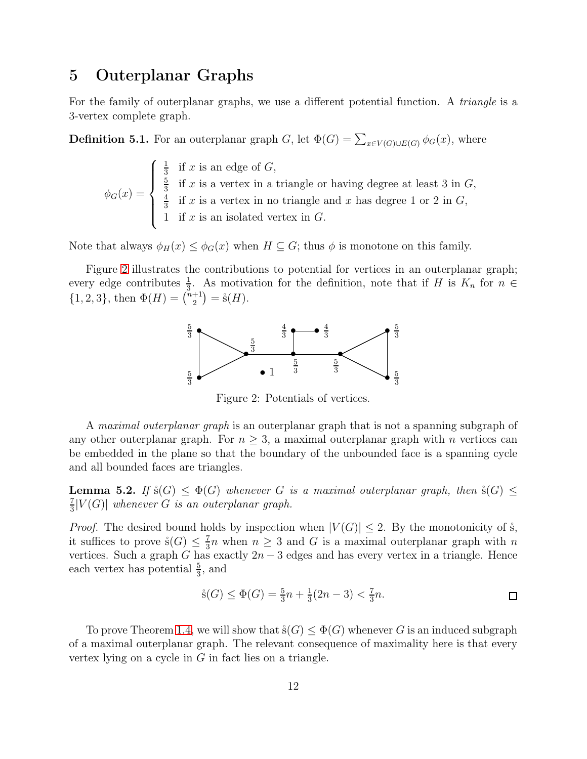# 5 Outerplanar Graphs

For the family of outerplanar graphs, we use a different potential function. A *triangle* is a 3-vertex complete graph.

**Definition 5.1.** For an outerplanar graph G, let  $\Phi(G) = \sum_{x \in V(G) \cup E(G)} \phi_G(x)$ , where

$$
\phi_G(x) = \begin{cases} \frac{1}{3} & \text{if } x \text{ is an edge of } G, \\ \frac{5}{3} & \text{if } x \text{ is a vertex in a triangle or having degree at least 3 in } G, \\ \frac{4}{3} & \text{if } x \text{ is a vertex in no triangle and } x \text{ has degree 1 or 2 in } G, \\ 1 & \text{if } x \text{ is an isolated vertex in } G. \end{cases}
$$

Note that always  $\phi_H(x) \leq \phi_G(x)$  when  $H \subseteq G$ ; thus  $\phi$  is monotone on this family.

<span id="page-11-0"></span>Figure [2](#page-11-0) illustrates the contributions to potential for vertices in an outerplanar graph; every edge contributes  $\frac{1}{3}$ . As motivation for the definition, note that if H is  $K_n$  for  $n \in$  ${1, 2, 3}$ , then  $\Phi(H) = \binom{n+1}{2}$  $_{2}^{+1}$ ) =  $\dot{\rm s}(H)$ .



Figure 2: Potentials of vertices.

A *maximal outerplanar graph* is an outerplanar graph that is not a spanning subgraph of any other outerplanar graph. For  $n \geq 3$ , a maximal outerplanar graph with n vertices can be embedded in the plane so that the boundary of the unbounded face is a spanning cycle and all bounded faces are triangles.

**Lemma 5.2.** If  $\mathring{s}(G) \leq \Phi(G)$  whenever G is a maximal outerplanar graph, then  $\mathring{s}(G) \leq$ 7  $\frac{7}{3}|V(G)|$  whenever G is an outerplanar graph.

*Proof.* The desired bound holds by inspection when  $|V(G)| \leq 2$ . By the monotonicity of s, it suffices to prove  $\dot{s}(G) \leq \frac{7}{3}$  $\frac{7}{3}n$  when  $n \geq 3$  and G is a maximal outerplanar graph with n vertices. Such a graph G has exactly  $2n-3$  edges and has every vertex in a triangle. Hence each vertex has potential  $\frac{5}{3}$ , and

$$
\dot{s}(G) \le \Phi(G) = \frac{5}{3}n + \frac{1}{3}(2n - 3) < \frac{7}{3}n. \Box
$$

To prove Theorem [1.4,](#page-2-2) we will show that  $\dot{s}(G) \leq \Phi(G)$  whenever G is an induced subgraph of a maximal outerplanar graph. The relevant consequence of maximality here is that every vertex lying on a cycle in  $G$  in fact lies on a triangle.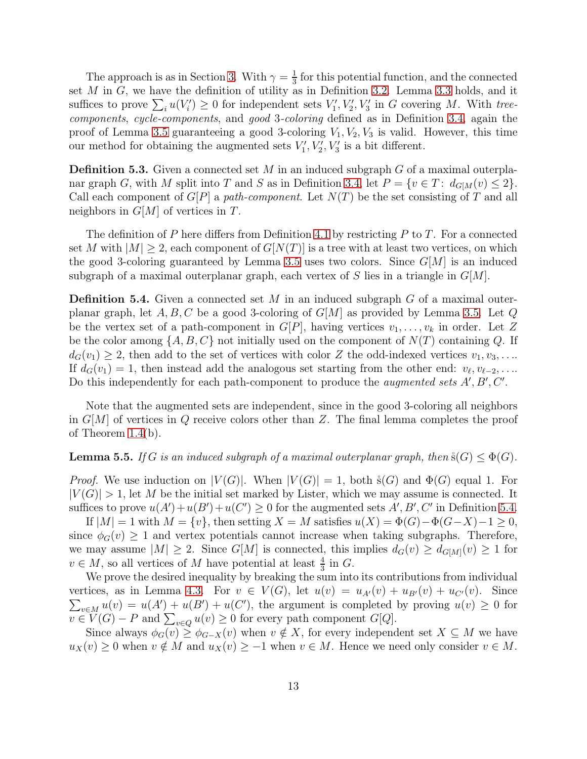The approach is as in Section [3.](#page-7-0) With  $\gamma = \frac{1}{3}$  $\frac{1}{3}$  for this potential function, and the connected set  $M$  in  $G$ , we have the definition of utility as in Definition [3.2.](#page-7-1) Lemma [3.3](#page-7-2) holds, and it suffices to prove  $\sum_i u(V'_i) \geq 0$  for independent sets  $V'_1, V'_2, V'_3$  in G covering M. With treecomponents, cycle-components, and good 3-coloring defined as in Definition [3.4,](#page-8-1) again the proof of Lemma [3.5](#page-8-2) guaranteeing a good 3-coloring  $V_1, V_2, V_3$  is valid. However, this time our method for obtaining the augmented sets  $V'_1, V'_2, V'_3$  is a bit different.

**Definition 5.3.** Given a connected set M in an induced subgraph G of a maximal outerpla-nar graph G, with M split into T and S as in Definition [3.4,](#page-8-1) let  $P = \{v \in T : d_{G[M]}(v) \leq 2\}.$ Call each component of  $G[P]$  a path-component. Let  $N(T)$  be the set consisting of T and all neighbors in  $G[M]$  of vertices in T.

The definition of P here differs from Definition [4.1](#page-9-2) by restricting P to T. For a connected set M with  $|M| > 2$ , each component of  $G[N(T)]$  is a tree with at least two vertices, on which the good 3-coloring guaranteed by Lemma [3.5](#page-8-2) uses two colors. Since  $G[M]$  is an induced subgraph of a maximal outerplanar graph, each vertex of S lies in a triangle in  $G[M]$ .

<span id="page-12-0"></span>**Definition 5.4.** Given a connected set M in an induced subgraph  $G$  of a maximal outerplanar graph, let  $A, B, C$  be a good 3-coloring of  $G[M]$  as provided by Lemma [3.5.](#page-8-2) Let Q be the vertex set of a path-component in  $G[P]$ , having vertices  $v_1, \ldots, v_k$  in order. Let Z be the color among  $\{A, B, C\}$  not initially used on the component of  $N(T)$  containing Q. If  $d_G(v_1) \geq 2$ , then add to the set of vertices with color Z the odd-indexed vertices  $v_1, v_3, \ldots$ If  $d_G(v_1) = 1$ , then instead add the analogous set starting from the other end:  $v_{\ell}, v_{\ell-2}, \ldots$ Do this independently for each path-component to produce the *augmented sets A'*,  $B'$ ,  $C'$ .

Note that the augmented sets are independent, since in the good 3-coloring all neighbors in  $G[M]$  of vertices in Q receive colors other than Z. The final lemma completes the proof of Theorem [1.4\(](#page-2-2)b).

#### **Lemma 5.5.** If G is an induced subgraph of a maximal outerplanar graph, then  $\dot{s}(G) \leq \Phi(G)$ .

*Proof.* We use induction on  $|V(G)|$ . When  $|V(G)| = 1$ , both  $\dot{s}(G)$  and  $\Phi(G)$  equal 1. For  $|V(G)| > 1$ , let M be the initial set marked by Lister, which we may assume is connected. It suffices to prove  $u(A') + u(B') + u(C') \ge 0$  for the augmented sets  $A', B', C'$  in Definition [5.4.](#page-12-0)

If  $|M| = 1$  with  $M = \{v\}$ , then setting  $X = M$  satisfies  $u(X) = \Phi(G) - \Phi(G - X) - 1 \geq 0$ , since  $\phi_G(v) \geq 1$  and vertex potentials cannot increase when taking subgraphs. Therefore, we may assume  $|M| \geq 2$ . Since  $G[M]$  is connected, this implies  $d_G(v) \geq d_{G[M]}(v) \geq 1$  for  $v \in M$ , so all vertices of M have potential at least  $\frac{4}{3}$  in G.

We prove the desired inequality by breaking the sum into its contributions from individual vertices, as in Lemma [4.3.](#page-10-0) For  $v \in V(G)$ , let  $u(v) = u_{A'}(v) + u_{B'}(v) + u_{C'}(v)$ . Since  $\sum_{v\in M} u(v) = u(A') + u(B') + u(C')$ , the argument is completed by proving  $u(v) \geq 0$  for  $v \in V(G) - P$  and  $\sum_{v \in Q} u(v) \geq 0$  for every path component  $G[Q]$ .

Since always  $\phi_G(v) \geq \phi_{G-X}(v)$  when  $v \notin X$ , for every independent set  $X \subseteq M$  we have  $u_X(v) \geq 0$  when  $v \notin M$  and  $u_X(v) \geq -1$  when  $v \in M$ . Hence we need only consider  $v \in M$ .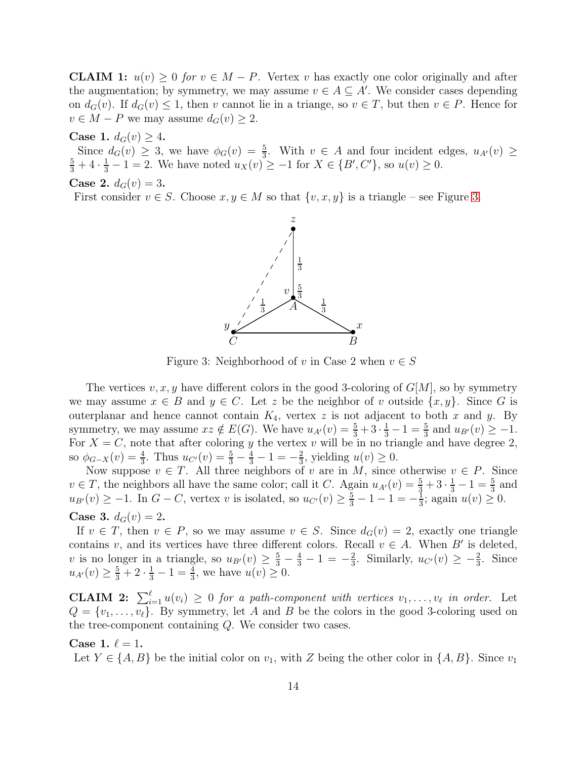**CLAIM 1:**  $u(v) \geq 0$  for  $v \in M - P$ . Vertex v has exactly one color originally and after the augmentation; by symmetry, we may assume  $v \in A \subseteq A'$ . We consider cases depending on  $d_G(v)$ . If  $d_G(v) \leq 1$ , then v cannot lie in a triange, so  $v \in T$ , but then  $v \in P$ . Hence for  $v \in M - P$  we may assume  $d_G(v) \geq 2$ .

Case 1.  $d_G(v) \geq 4$ .

Since  $d_G(v) \ge 3$ , we have  $\phi_G(v) = \frac{5}{3}$ . With  $v \in A$  and four incident edges,  $u_{A'}(v) \ge \frac{5}{3} + 4 \cdot \frac{1}{3} - 1 = 2$ . We have noted  $u_X(v) \ge -1$  for  $X \in \{B', C'\}$ , so  $u(v) \ge 0$ .

Case 2. 
$$
d_G(v) = 3
$$
.

<span id="page-13-0"></span>First consider  $v \in S$ . Choose  $x, y \in M$  so that  $\{v, x, y\}$  is a triangle – see Figure [3.](#page-13-0)



Figure 3: Neighborhood of v in Case 2 when  $v \in S$ 

The vertices  $v, x, y$  have different colors in the good 3-coloring of  $G[M]$ , so by symmetry we may assume  $x \in B$  and  $y \in C$ . Let z be the neighbor of v outside  $\{x, y\}$ . Since G is outerplanar and hence cannot contain  $K_4$ , vertex z is not adjacent to both x and y. By symmetry, we may assume  $xz \notin E(G)$ . We have  $u_{A'}(v) = \frac{5}{3} + 3 \cdot \frac{1}{3} - 1 = \frac{5}{3}$  and  $u_{B'}(v) \ge -1$ . For  $X = C$ , note that after coloring y the vertex v will be in no triangle and have degree 2, so  $\phi_{G-X}(v) = \frac{4}{3}$ . Thus  $u_{C'}(v) = \frac{5}{3} - \frac{4}{3} - 1 = -\frac{2}{3}$  $\frac{2}{3}$ , yielding  $u(v) \geq 0$ .

Now suppose  $v \in T$ . All three neighbors of v are in M, since otherwise  $v \in P$ . Since  $v \in T$ , the neighbors all have the same color; call it C. Again  $u_{A'}(v) = \frac{5}{3} + 3 \cdot \frac{1}{3} - 1 = \frac{5}{3}$  and  $u_{B'}(v) \ge -1$ . In  $G - C$ , vertex v is isolated, so  $u_{C'}(v) \ge \frac{5}{3} - 1 - 1 = -\frac{1}{3}$  $\frac{1}{3}$ ; again  $u(v) \geq 0$ . **Case 3.**  $d_G(v) = 2$ .

If  $v \in T$ , then  $v \in P$ , so we may assume  $v \in S$ . Since  $d_G(v) = 2$ , exactly one triangle contains v, and its vertices have three different colors. Recall  $v \in A$ . When B' is deleted, v is no longer in a triangle, so  $u_{B'}(v) \ge \frac{5}{3} - \frac{4}{3} - 1 = -\frac{2}{3}$  $\frac{2}{3}$ . Similarly,  $u_{C'}(v) \geq -\frac{2}{3}$ . Since  $u_{A'}(v) \geq \frac{5}{3} + 2 \cdot \frac{1}{3} - 1 = \frac{4}{3}$ , we have  $u(v) \geq 0$ .

**CLAIM 2:**  $\sum_{i=1}^{\ell} u(v_i) \geq 0$  for a path-component with vertices  $v_1, \ldots, v_{\ell}$  in order. Let  $Q = \{v_1, \ldots, v_\ell\}$ . By symmetry, let A and B be the colors in the good 3-coloring used on the tree-component containing Q. We consider two cases.

#### Case 1.  $\ell = 1$ .

Let  $Y \in \{A, B\}$  be the initial color on  $v_1$ , with Z being the other color in  $\{A, B\}$ . Since  $v_1$